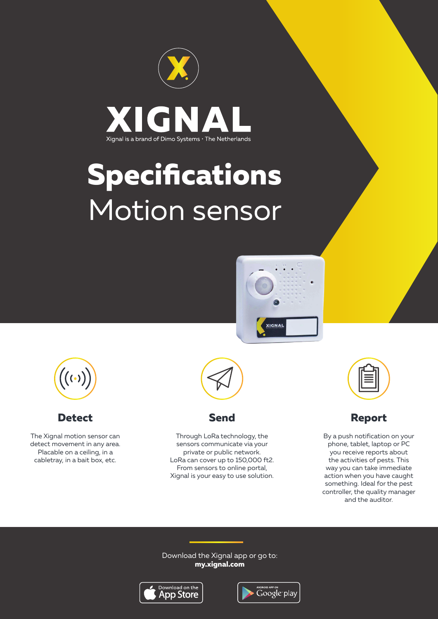

# **Specifications** Motion sensor





**Detect**

The Xignal motion sensor can detect movement in any area. Placable on a ceiling, in a cabletray, in a bait box, etc.





Through LoRa technology, the sensors communicate via your private or public network. LoRa can cover up to 150,000 ft2. From sensors to online portal, Xignal is your easy to use solution.

**Report**

By a push notification on your phone, tablet, laptop or PC you receive reports about the activities of pests. This way you can take immediate action when you have caught something. Ideal for the pest controller, the quality manager and the auditor.

Download the Xignal app or go to: **my.xignal.com**